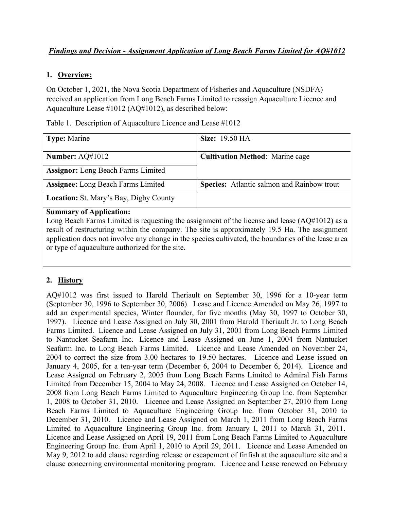## *Findings and Decision - Assignment Application of Long Beach Farms Limited for AQ#1012*

#### **1. Overview:**

On October 1, 2021, the Nova Scotia Department of Fisheries and Aquaculture (NSDFA) received an application from Long Beach Farms Limited to reassign Aquaculture Licence and Aquaculture Lease #1012 (AQ#1012), as described below:

| <b>Type:</b> Marine                           | <b>Size:</b> 19.50 HA                             |
|-----------------------------------------------|---------------------------------------------------|
|                                               |                                                   |
| Number: $AQ#1012$                             | <b>Cultivation Method:</b> Marine cage            |
| <b>Assignor:</b> Long Beach Farms Limited     |                                                   |
| <b>Assignee:</b> Long Beach Farms Limited     | <b>Species:</b> Atlantic salmon and Rainbow trout |
| <b>Location:</b> St. Mary's Bay, Digby County |                                                   |

Table 1. Description of Aquaculture Licence and Lease #1012

#### **Summary of Application:**

Long Beach Farms Limited is requesting the assignment of the license and lease (AQ#1012) as a result of restructuring within the company. The site is approximately 19.5 Ha. The assignment application does not involve any change in the species cultivated, the boundaries of the lease area or type of aquaculture authorized for the site.

#### **2. History**

AQ#1012 was first issued to Harold Theriault on September 30, 1996 for a 10-year term (September 30, 1996 to September 30, 2006). Lease and Licence Amended on May 26, 1997 to add an experimental species, Winter flounder, for five months (May 30, 1997 to October 30, 1997). Licence and Lease Assigned on July 30, 2001 from Harold Theriault Jr. to Long Beach Farms Limited. Licence and Lease Assigned on July 31, 2001 from Long Beach Farms Limited to Nantucket Seafarm Inc. Licence and Lease Assigned on June 1, 2004 from Nantucket Seafarm Inc. to Long Beach Farms Limited. Licence and Lease Amended on November 24, 2004 to correct the size from 3.00 hectares to 19.50 hectares. Licence and Lease issued on January 4, 2005, for a ten-year term (December 6, 2004 to December 6, 2014). Licence and Lease Assigned on February 2, 2005 from Long Beach Farms Limited to Admiral Fish Farms Limited from December 15, 2004 to May 24, 2008. Licence and Lease Assigned on October 14, 2008 from Long Beach Farms Limited to Aquaculture Engineering Group Inc. from September 1, 2008 to October 31, 2010. Licence and Lease Assigned on September 27, 2010 from Long Beach Farms Limited to Aquaculture Engineering Group Inc. from October 31, 2010 to December 31, 2010. Licence and Lease Assigned on March 1, 2011 from Long Beach Farms Limited to Aquaculture Engineering Group Inc. from January I, 2011 to March 31, 2011. Licence and Lease Assigned on April 19, 2011 from Long Beach Farms Limited to Aquaculture Engineering Group Inc. from April 1, 2010 to April 29, 2011. Licence and Lease Amended on May 9, 2012 to add clause regarding release or escapement of finfish at the aquaculture site and a clause concerning environmental monitoring program. Licence and Lease renewed on February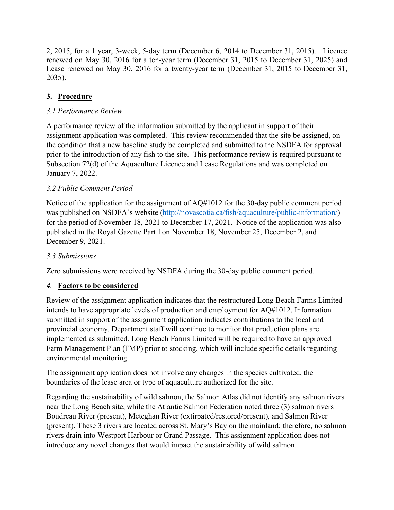2, 2015, for a 1 year, 3-week, 5-day term (December 6, 2014 to December 31, 2015). Licence renewed on May 30, 2016 for a ten-year term (December 31, 2015 to December 31, 2025) and Lease renewed on May 30, 2016 for a twenty-year term (December 31, 2015 to December 31, 2035).

# **3. Procedure**

# *3.1 Performance Review*

A performance review of the information submitted by the applicant in support of their assignment application was completed. This review recommended that the site be assigned, on the condition that a new baseline study be completed and submitted to the NSDFA for approval prior to the introduction of any fish to the site. This performance review is required pursuant to Subsection 72(d) of the Aquaculture Licence and Lease Regulations and was completed on January 7, 2022.

# *3.2 Public Comment Period*

Notice of the application for the assignment of AQ#1012 for the 30-day public comment period was published on NSDFA's website [\(http://novascotia.ca/fish/aquaculture/public-information/\)](http://novascotia.ca/fish/aquaculture/public-information/) for the period of November 18, 2021 to December 17, 2021. Notice of the application was also published in the Royal Gazette Part I on November 18, November 25, December 2, and December 9, 2021.

## *3.3 Submissions*

Zero submissions were received by NSDFA during the 30-day public comment period.

## *4.* **Factors to be considered**

Review of the assignment application indicates that the restructured Long Beach Farms Limited intends to have appropriate levels of production and employment for AQ#1012. Information submitted in support of the assignment application indicates contributions to the local and provincial economy. Department staff will continue to monitor that production plans are implemented as submitted. Long Beach Farms Limited will be required to have an approved Farm Management Plan (FMP) prior to stocking, which will include specific details regarding environmental monitoring.

The assignment application does not involve any changes in the species cultivated, the boundaries of the lease area or type of aquaculture authorized for the site.

Regarding the sustainability of wild salmon, the Salmon Atlas did not identify any salmon rivers near the Long Beach site, while the Atlantic Salmon Federation noted three (3) salmon rivers – Boudreau River (present), Meteghan River (extirpated/restored/present), and Salmon River (present). These 3 rivers are located across St. Mary's Bay on the mainland; therefore, no salmon rivers drain into Westport Harbour or Grand Passage. This assignment application does not introduce any novel changes that would impact the sustainability of wild salmon.